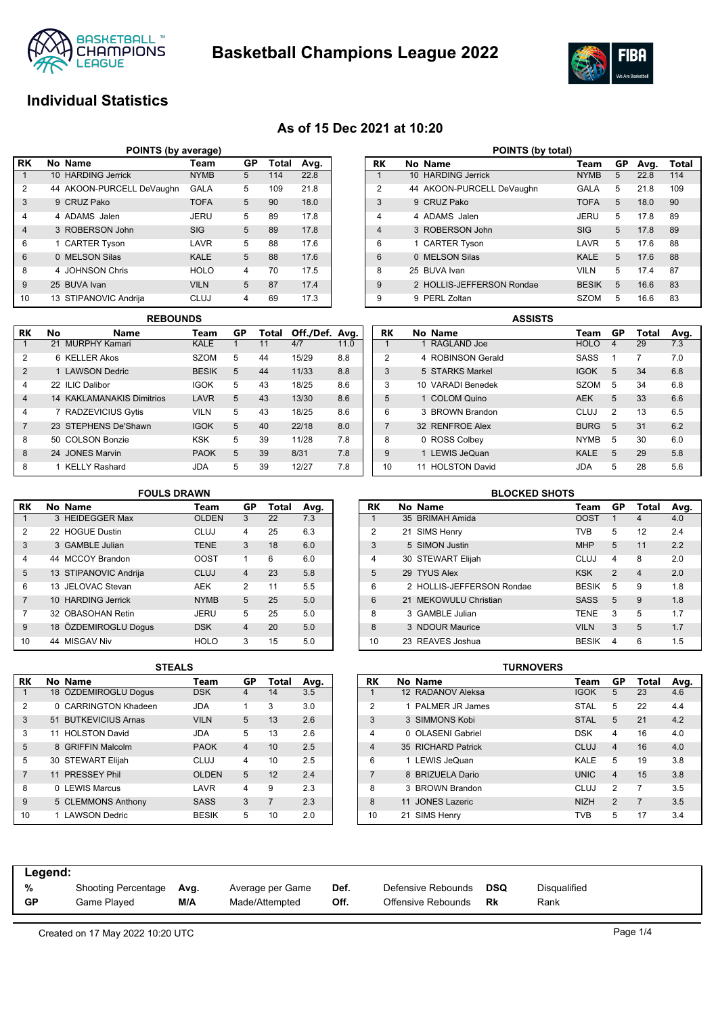



# **Individual Statistics**

## **As of 15 Dec 2021 at 10:20**

| POINTS (by average) |  |                           |             |    |              |      |  |  |  |  |  |
|---------------------|--|---------------------------|-------------|----|--------------|------|--|--|--|--|--|
| <b>RK</b>           |  | No Name                   | Team        | GP | <b>Total</b> | Avg. |  |  |  |  |  |
|                     |  | 10 HARDING Jerrick        | <b>NYMB</b> | 5  | 114          | 22.8 |  |  |  |  |  |
| $\overline{2}$      |  | 44 AKOON-PURCELL DeVaughn | <b>GALA</b> | 5  | 109          | 21.8 |  |  |  |  |  |
| 3                   |  | 9 CRUZ Pako               | <b>TOFA</b> | 5  | 90           | 18.0 |  |  |  |  |  |
| 4                   |  | 4 ADAMS Jalen             | JERU        | 5  | 89           | 17.8 |  |  |  |  |  |
| $\overline{4}$      |  | 3 ROBERSON John           | <b>SIG</b>  | 5  | 89           | 17.8 |  |  |  |  |  |
| 6                   |  | 1 CARTER Tyson            | LAVR        | 5  | 88           | 17.6 |  |  |  |  |  |
| 6                   |  | 0 MELSON Silas            | <b>KALE</b> | 5  | 88           | 17.6 |  |  |  |  |  |
| 8                   |  | 4 JOHNSON Chris           | <b>HOLO</b> | 4  | 70           | 17.5 |  |  |  |  |  |
| 9                   |  | 25 BUVA Ivan              | <b>VILN</b> | 5  | 87           | 17.4 |  |  |  |  |  |
| 10                  |  | 13 STIPANOVIC Andrija     | <b>CLUJ</b> | 4  | 69           | 17.3 |  |  |  |  |  |

| <b>REBOUNDS</b> |     |                            |              |    |       |                |      |  |  |  |  |  |
|-----------------|-----|----------------------------|--------------|----|-------|----------------|------|--|--|--|--|--|
| RK              | No  | <b>Name</b>                | Team         | GP | Total | Off./Def. Avg. |      |  |  |  |  |  |
| 1               |     | 21 MURPHY Kamari           | <b>KALE</b>  | 1  | 11    | 4/7            | 11.0 |  |  |  |  |  |
| 2               | 6.  | <b>KELLER Akos</b>         | <b>SZOM</b>  | 5  | 44    | 15/29          | 8.8  |  |  |  |  |  |
| $\overline{2}$  |     | 1   AWSON Dedric           | <b>BESIK</b> | 5  | 44    | 11/33          | 8.8  |  |  |  |  |  |
| $\overline{4}$  |     | 22 ILIC Dalibor            | <b>IGOK</b>  | 5  | 43    | 18/25          | 8.6  |  |  |  |  |  |
| $\overline{4}$  |     | 14 KAKI AMANAKIS Dimitrios | LAVR         | 5  | 43    | 13/30          | 8.6  |  |  |  |  |  |
| 4               |     | 7 RADZEVICIUS Gytis        | <b>VILN</b>  | 5  | 43    | 18/25          | 8.6  |  |  |  |  |  |
| $\overline{7}$  |     | 23 STEPHENS De'Shawn       | <b>IGOK</b>  | 5  | 40    | 22/18          | 8.0  |  |  |  |  |  |
| 8               | 50. | <b>COLSON Bonzie</b>       | KSK          | 5  | 39    | 11/28          | 7.8  |  |  |  |  |  |
| 8               |     | 24 JONES Marvin            | <b>PAOK</b>  | 5  | 39    | 8/31           | 7.8  |  |  |  |  |  |
| 8               |     | <b>KELLY Rashard</b>       | JDA          | 5  | 39    | 12/27          | 7.8  |  |  |  |  |  |

| POINTS (by total) |          |                           |              |    |      |       |  |  |  |  |  |  |
|-------------------|----------|---------------------------|--------------|----|------|-------|--|--|--|--|--|--|
| RK                |          | No Name                   | Team         | GP | Avg. | Total |  |  |  |  |  |  |
| 1                 |          | 10 HARDING Jerrick        | <b>NYMB</b>  | 5  | 22.8 | 114   |  |  |  |  |  |  |
| $\overline{2}$    |          | 44 AKOON-PURCELL DeVaughn | GALA         | 5  | 21.8 | 109   |  |  |  |  |  |  |
| 3                 |          | 9 CRUZ Pako               | <b>TOFA</b>  | 5  | 18.0 | 90    |  |  |  |  |  |  |
| 4                 |          | 4 ADAMS Jalen             | JERU         | 5  | 17.8 | 89    |  |  |  |  |  |  |
| $\overline{4}$    |          | 3 ROBERSON John           | <b>SIG</b>   | 5  | 17.8 | 89    |  |  |  |  |  |  |
| 6                 |          | 1 CARTER Tyson            | LAVR         | 5  | 176  | 88    |  |  |  |  |  |  |
| 6                 | $\Omega$ | <b>MELSON Silas</b>       | <b>KALE</b>  | 5  | 17.6 | 88    |  |  |  |  |  |  |
| 8                 |          | 25 BUVA Ivan              | <b>VILN</b>  | 5  | 17.4 | 87    |  |  |  |  |  |  |
| 9                 |          | 2 HOLLIS-JEFFERSON Rondae | <b>BESIK</b> | 5  | 16.6 | 83    |  |  |  |  |  |  |
| 9                 | 9        | PERL Zoltan               | <b>SZOM</b>  | 5  | 16.6 | 83    |  |  |  |  |  |  |

|                | <b>ASSISTS</b>          |             |                |       |      |  |  |  |  |  |  |
|----------------|-------------------------|-------------|----------------|-------|------|--|--|--|--|--|--|
| RK             | No Name                 | Team        | GP             | Total | Avg. |  |  |  |  |  |  |
| 1              | 1 RAGLAND Joe           | <b>HOLO</b> | $\overline{4}$ | 29    | 7.3  |  |  |  |  |  |  |
| $\overline{2}$ | 4 ROBINSON Gerald       | SASS        | 1              | 7     | 7.0  |  |  |  |  |  |  |
| 3              | 5 STARKS Markel         | <b>IGOK</b> | 5              | 34    | 6.8  |  |  |  |  |  |  |
| 3              | 10 VARADI Benedek       | <b>SZOM</b> | 5              | 34    | 6.8  |  |  |  |  |  |  |
| 5              | 1 COLOM Quino           | <b>AEK</b>  | 5              | 33    | 6.6  |  |  |  |  |  |  |
| 6              | 3 BROWN Brandon         | CLUJ        | $\mathfrak{p}$ | 13    | 6.5  |  |  |  |  |  |  |
| $\overline{7}$ | 32 RENFROE Alex         | <b>BURG</b> | 5              | 31    | 6.2  |  |  |  |  |  |  |
| 8              | <b>ROSS Colbey</b><br>0 | <b>NYMB</b> | 5              | 30    | 6.0  |  |  |  |  |  |  |
| 9              | 1 LEWIS JeQuan          | <b>KALE</b> | 5              | 29    | 5.8  |  |  |  |  |  |  |
| 10             | 11 HOLSTON David        | JDA         | 5              | 28    | 5.6  |  |  |  |  |  |  |

### **FOULS DRAWN**

| RK             | No Name               | Team         | GР             | Total | Avg. |
|----------------|-----------------------|--------------|----------------|-------|------|
| 1              | 3 HEIDEGGER Max       | <b>OLDEN</b> | 3              | 22    | 7.3  |
| $\overline{2}$ | 22 HOGUE Dustin       | CLUJ         | 4              | 25    | 6.3  |
| 3              | 3 GAMBLE Julian       | <b>TENE</b>  | 3              | 18    | 6.0  |
| $\overline{4}$ | 44 MCCOY Brandon      | <b>OOST</b>  | 1              | 6     | 6.0  |
| 5              | 13 STIPANOVIC Andrija | <b>CLUJ</b>  | $\overline{4}$ | 23    | 5.8  |
| 6              | 13 JELOVAC Stevan     | <b>AEK</b>   | 2              | 11    | 5.5  |
| $\overline{7}$ | 10 HARDING Jerrick    | <b>NYMB</b>  | 5              | 25    | 5.0  |
| 7              | 32 OBASOHAN Retin     | JERU         | 5              | 25    | 5.0  |
| 9              | 18 ÖZDEMIROGLU Dogus  | <b>DSK</b>   | $\overline{4}$ | 20    | 5.0  |
| 10             | 44 MISGAV Niv         | <b>HOLO</b>  | 3              | 15    | 5.0  |

|                                      | <b>BLOCKED SHOTS</b> |                           |              |                |                         |     |  |  |  |  |  |  |  |
|--------------------------------------|----------------------|---------------------------|--------------|----------------|-------------------------|-----|--|--|--|--|--|--|--|
| RK<br>GP<br>No Name<br>Total<br>Team |                      |                           |              |                |                         |     |  |  |  |  |  |  |  |
| 1                                    |                      | 35 BRIMAH Amida           | <b>OOST</b>  | 1              | 4                       | 4.0 |  |  |  |  |  |  |  |
| 2                                    |                      | 21 SIMS Henry             | <b>TVB</b>   | 5              | 12                      | 2.4 |  |  |  |  |  |  |  |
| 3                                    |                      | 5 SIMON Justin            | <b>MHP</b>   | 5              | 11                      | 2.2 |  |  |  |  |  |  |  |
| 4                                    |                      | 30 STEWART Elijah         | CLUJ         | 4              | 8                       | 2.0 |  |  |  |  |  |  |  |
| 5                                    |                      | 29 TYUS Alex              | <b>KSK</b>   | $\overline{2}$ | $\overline{\mathbf{A}}$ | 2.0 |  |  |  |  |  |  |  |
| 6                                    |                      | 2 HOLLIS-JEFFERSON Rondae | <b>BESIK</b> | 5              | 9                       | 1.8 |  |  |  |  |  |  |  |
| 6                                    |                      | 21 MEKOWULU Christian     | <b>SASS</b>  | 5              | 9                       | 1.8 |  |  |  |  |  |  |  |
| 8                                    |                      | 3 GAMBLE Julian           | <b>TENE</b>  | 3              | 5                       | 1.7 |  |  |  |  |  |  |  |
| 8                                    |                      | 3 NDOUR Maurice           | <b>VILN</b>  | 3              | 5                       | 1.7 |  |  |  |  |  |  |  |
| 10                                   |                      | 23 REAVES Joshua          | <b>BESIK</b> | 4              | 6                       | 1.5 |  |  |  |  |  |  |  |

|                |              | 3 I EALJ                  |              |                |       |      |
|----------------|--------------|---------------------------|--------------|----------------|-------|------|
| RK             |              | No Name                   | Team         | GP             | Total | Avg. |
| 1              |              | 18 ÖZDEMIROGLU Doqus      | <b>DSK</b>   | 4              | 14    | 3.5  |
| $\overline{2}$ | 0            | <b>CARRINGTON Khadeen</b> | <b>JDA</b>   | 1              | 3     | 3.0  |
| 3              |              | 51 BUTKEVICIUS Arnas      | <b>VILN</b>  | 5              | 13    | 2.6  |
| 3              |              | 11 HOLSTON David          | JDA          | 5              | 13    | 2.6  |
| 5              |              | 8 GRIFFIN Malcolm         | <b>PAOK</b>  | $\overline{4}$ | 10    | 2.5  |
| 5              |              | 30 STEWART Elijah         | CLUJ         | 4              | 10    | 2.5  |
| 7              |              | 11 PRESSEY Phil           | <b>OLDEN</b> | 5              | 12    | 2.4  |
| 8              | <sup>n</sup> | <b>LEWIS Marcus</b>       | LAVR         | 4              | 9     | 2.3  |
| 9              |              | 5 CLEMMONS Anthony        | <b>SASS</b>  | 3              | 7     | 2.3  |
| 10             |              | <b>LAWSON Dedric</b>      | <b>BESIK</b> | 5              | 10    | 2.0  |

| STEALS |              |                |       |      |                |    |                    | TURNOVERS   |                |       |      |
|--------|--------------|----------------|-------|------|----------------|----|--------------------|-------------|----------------|-------|------|
|        | Team         | GP             | Total | Avg. | RK             |    | No Name            | Team        | GP             | Total | Avg. |
|        | <b>DSK</b>   | 4              | 14    | 3.5  |                |    | 12 RADANOV Aleksa  | <b>IGOK</b> | 5.             | 23    | 4.6  |
|        | <b>JDA</b>   |                | 3     | 3.0  | 2              |    | 1 PALMER JR James  | <b>STAL</b> | 5              | 22    | 4.4  |
|        | <b>VILN</b>  | 5              | 13    | 2.6  | 3              |    | 3 SIMMONS Kobi     | <b>STAL</b> | 5              | 21    | 4.2  |
|        | <b>JDA</b>   | 5              | 13    | 2.6  | 4              |    | 0 OLASENI Gabriel  | <b>DSK</b>  | 4              | 16    | 4.0  |
|        | <b>PAOK</b>  | $\overline{4}$ | 10    | 2.5  | 4              |    | 35 RICHARD Patrick | <b>CLUJ</b> | 4              | 16    | 4.0  |
|        | <b>CLUJ</b>  | 4              | 10    | 2.5  | 6              |    | 1 LEWIS JeQuan     | <b>KALE</b> | 5              | 19    | 3.8  |
|        | <b>OLDEN</b> | 5              | 12    | 2.4  | $\overline{ }$ |    | 8 BRIZUELA Dario   | <b>UNIC</b> | 4              | 15    | 3.8  |
|        | LAVR         | 4              | 9     | 2.3  | 8              |    | 3 BROWN Brandon    | CLUJ        | $\overline{2}$ | 7     | 3.5  |
|        | <b>SASS</b>  | 3              | 7     | 2.3  | 8              |    | 11 JONES Lazeric   | <b>NIZH</b> | 2              | 7     | 3.5  |
|        | <b>BESIK</b> | 5              | 10    | 2.0  | 10             | 21 | SIMS Henry         | TVB         | 5              | 17    | 3.4  |

| Legend:                                                                                |   |                     |                          |      |                    |     |              |
|----------------------------------------------------------------------------------------|---|---------------------|--------------------------|------|--------------------|-----|--------------|
|                                                                                        |   |                     |                          |      |                    |     |              |
|                                                                                        | % | Shooting Percentage | Average per Game<br>Avg. | Def. | Defensive Rebounds | DSQ | Disqualified |
| GP<br>Off.<br>M/A<br>Offensive Rebounds<br>Game Plaved<br>Made/Attempted<br>Rank<br>Rk |   |                     |                          |      |                    |     |              |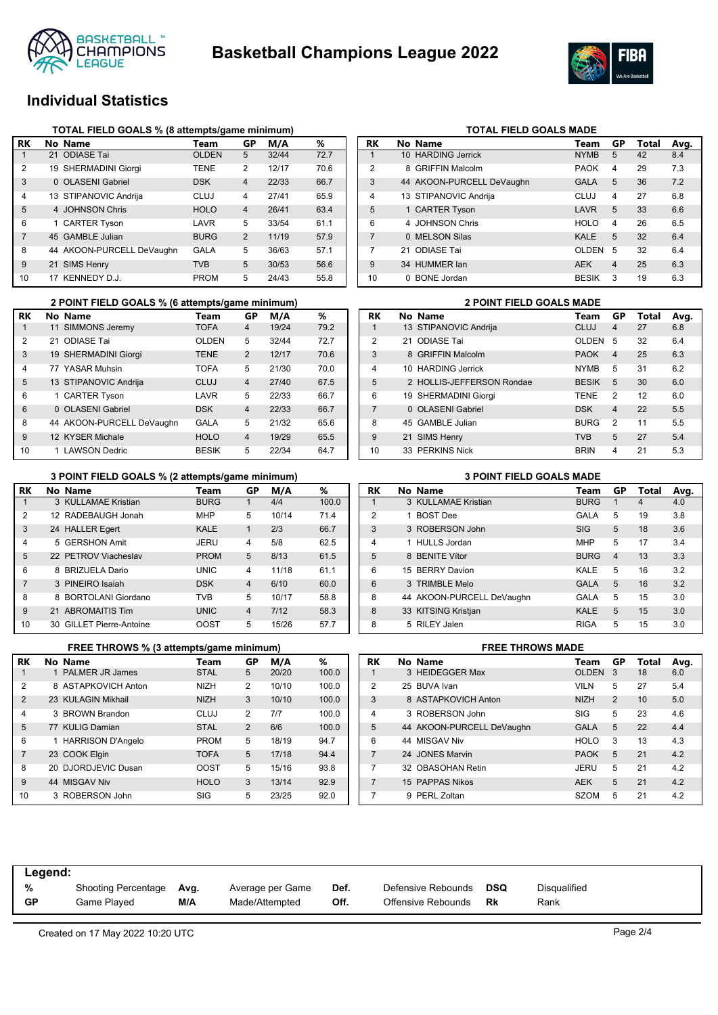



# **Individual Statistics**

|                | TOTAL FIELD GOALS % (8 attempts/game minimum) |                           |              |                |       |      |  |  |  |  |  |  |
|----------------|-----------------------------------------------|---------------------------|--------------|----------------|-------|------|--|--|--|--|--|--|
| RK             |                                               | No Name                   | Team         | GP             | M/A   | %    |  |  |  |  |  |  |
| 1              |                                               | 21 ODIASE Tai             | <b>OLDEN</b> | 5              | 32/44 | 72.7 |  |  |  |  |  |  |
| $\overline{2}$ |                                               | 19 SHERMADINI Giorgi      | TENE         | 2              | 12/17 | 70.6 |  |  |  |  |  |  |
| 3              |                                               | 0 OLASENI Gabriel         | <b>DSK</b>   | $\overline{4}$ | 22/33 | 66.7 |  |  |  |  |  |  |
| 4              |                                               | 13 STIPANOVIC Andriia     | CLUJ         | 4              | 27/41 | 65.9 |  |  |  |  |  |  |
| 5              |                                               | 4 JOHNSON Chris           | <b>HOLO</b>  | $\overline{4}$ | 26/41 | 63.4 |  |  |  |  |  |  |
| 6              |                                               | 1 CARTER Tyson            | LAVR         | 5              | 33/54 | 61.1 |  |  |  |  |  |  |
| 7              |                                               | 45 GAMBLE Julian          | <b>BURG</b>  | 2              | 11/19 | 57.9 |  |  |  |  |  |  |
| 8              |                                               | 44 AKOON-PURCELL DeVaughn | GALA         | 5              | 36/63 | 57.1 |  |  |  |  |  |  |
| 9              |                                               | 21 SIMS Henry             | <b>TVB</b>   | 5              | 30/53 | 56.6 |  |  |  |  |  |  |
| 10             |                                               | KENNEDY D.J.              | <b>PROM</b>  | 5              | 24/43 | 55.8 |  |  |  |  |  |  |

|    |    | 2 POINT FIELD GOALS % (6 attempts/game minimum) |              |                |       | <b>2 POINT FIELD GOALS MADE</b> |                |                           |              |
|----|----|-------------------------------------------------|--------------|----------------|-------|---------------------------------|----------------|---------------------------|--------------|
| RK |    | No Name                                         | Team         | GР             | M/A   | %                               | <b>RK</b>      | No Name                   | Team         |
|    | 11 | SIMMONS Jeremy                                  | <b>TOFA</b>  | 4              | 19/24 | 79.2                            |                | 13 STIPANOVIC Andrija     | <b>CLUJ</b>  |
| 2  |    | 21 ODIASE Tai                                   | <b>OLDEN</b> | 5              | 32/44 | 72.7                            | $\overline{2}$ | 21 ODIASE Tai             | <b>OLDE</b>  |
| 3  |    | 19 SHERMADINI Giorgi                            | <b>TENE</b>  | 2              | 12/17 | 70.6                            | 3              | 8 GRIFFIN Malcolm         | <b>PAOK</b>  |
| 4  |    | 77 YASAR Muhsin                                 | <b>TOFA</b>  | 5              | 21/30 | 70.0                            | 4              | 10 HARDING Jerrick        | <b>NYMB</b>  |
| 5  |    | 13 STIPANOVIC Andrija                           | <b>CLUJ</b>  | $\overline{4}$ | 27/40 | 67.5                            | 5              | 2 HOLLIS-JEFFERSON Rondae | <b>BESIK</b> |
| 6  |    | 1 CARTER Tyson                                  | LAVR         | 5              | 22/33 | 66.7                            | 6              | 19 SHERMADINI Giorgi      | <b>TENE</b>  |
| 6  |    | 0 OLASENI Gabriel                               | <b>DSK</b>   | $\overline{4}$ | 22/33 | 66.7                            |                | 0 OLASENI Gabriel         | <b>DSK</b>   |
| 8  |    | 44 AKOON-PURCELL DeVaughn                       | <b>GALA</b>  | 5              | 21/32 | 65.6                            | 8              | 45 GAMBLE Julian          | <b>BURG</b>  |
| 9  |    | 12 KYSER Michale                                | <b>HOLO</b>  | $\overline{4}$ | 19/29 | 65.5                            | 9              | 21 SIMS Henry             | <b>TVB</b>   |
| 10 |    | 1 LAWSON Dedric                                 | <b>BESIK</b> | 5              | 22/34 | 64.7                            | 10             | 33 PERKINS Nick           | <b>BRIN</b>  |

|                | 3 POINT FIELD GOALS % (2 attempts/game minimum) |                           |             |                |       |       |  |  |  |  |  |  |
|----------------|-------------------------------------------------|---------------------------|-------------|----------------|-------|-------|--|--|--|--|--|--|
| RK             |                                                 | No Name                   | Team        | GP             | M/A   | %     |  |  |  |  |  |  |
| 1              |                                                 | 3 KULLAMAE Kristian       | <b>BURG</b> | 1              | 4/4   | 100.0 |  |  |  |  |  |  |
| 2              |                                                 | 12 RADEBAUGH Jonah        | <b>MHP</b>  | 5              | 10/14 | 71.4  |  |  |  |  |  |  |
| 3              |                                                 | 24 HALLER Egert           | <b>KALE</b> | 1              | 2/3   | 66.7  |  |  |  |  |  |  |
| 4              |                                                 | 5 GERSHON Amit            | JERU        | $\overline{4}$ | 5/8   | 62.5  |  |  |  |  |  |  |
| 5              |                                                 | 22 PETROV Viacheslav      | <b>PROM</b> | 5              | 8/13  | 61.5  |  |  |  |  |  |  |
| 6              |                                                 | 8 BRIZUELA Dario          | <b>UNIC</b> | 4              | 11/18 | 61.1  |  |  |  |  |  |  |
| $\overline{7}$ |                                                 | 3 PINEIRO Isaiah          | <b>DSK</b>  | $\overline{4}$ | 6/10  | 60.0  |  |  |  |  |  |  |
| 8              | 8                                               | <b>BORTOLANI Giordano</b> | <b>TVB</b>  | 5              | 10/17 | 58.8  |  |  |  |  |  |  |
| 9              |                                                 | 21 ABROMAITIS Tim         | <b>UNIC</b> | $\overline{4}$ | 7/12  | 58.3  |  |  |  |  |  |  |
| 10             |                                                 | 30 GILLET Pierre-Antoine  | <b>OOST</b> | 5              | 15/26 | 57.7  |  |  |  |  |  |  |

|                | <b>FREE THROWS % (3 attempts/game minimum)</b> |             |                | <b>FREE THROWS MADE</b> |       |                |  |                           |                |
|----------------|------------------------------------------------|-------------|----------------|-------------------------|-------|----------------|--|---------------------------|----------------|
| RK             | No Name                                        | Team        | GP             | M/A                     | %     | <b>RK</b>      |  | No Name                   | Τ              |
|                | 1 PALMER JR James                              | <b>STAL</b> | 5              | 20/20                   | 100.0 |                |  | 3 HEIDEGGER Max           | O              |
| 2              | 8 ASTAPKOVICH Anton                            | <b>NIZH</b> | $\overline{2}$ | 10/10                   | 100.0 | 2              |  | 25 BUVA Ivan              | VI             |
| 2              | 23 KULAGIN Mikhail                             | <b>NIZH</b> | 3              | 10/10                   | 100.0 | 3              |  | 8 ASTAPKOVICH Anton       | N              |
| 4              | 3 BROWN Brandon                                | <b>CLUJ</b> | 2              | 7/7                     | 100.0 | 4              |  | 3 ROBERSON John           | SI             |
| 5              | 77 KULIG Damian                                | <b>STAL</b> | 2              | 6/6                     | 100.0 | 5              |  | 44 AKOON-PURCELL DeVaughn | G.             |
| 6              | 1 HARRISON D'Angelo                            | <b>PROM</b> | 5              | 18/19                   | 94.7  | 6              |  | 44 MISGAV Niv             | Н١             |
| $\overline{7}$ | 23 COOK Elgin                                  | <b>TOFA</b> | 5              | 17/18                   | 94.4  | 7              |  | 24 JONES Marvin           | P              |
| 8              | 20 DJORDJEVIC Dusan                            | <b>OOST</b> | 5              | 15/16                   | 93.8  | 7              |  | 32 OBASOHAN Retin         | JE             |
| 9              | 44 MISGAV Niv                                  | <b>HOLO</b> | 3              | 13/14                   | 92.9  | $\overline{7}$ |  | 15 PAPPAS Nikos           | $\overline{A}$ |
| 10             | 3 ROBERSON John                                | SIG         | 5              | 23/25                   | 92.0  |                |  | 9 PERL Zoltan             | S.             |

| RK             | No Name                   | Team         | GP             | Total | Avg. |
|----------------|---------------------------|--------------|----------------|-------|------|
| 1              | 10 HARDING Jerrick        | <b>NYMB</b>  | 5              | 42    | 8.4  |
| 2              | 8 GRIFFIN Malcolm         | <b>PAOK</b>  | 4              | 29    | 7.3  |
| 3              | 44 AKOON-PURCELL DeVaughn | <b>GALA</b>  | 5              | 36    | 7.2  |
| 4              | 13 STIPANOVIC Andrija     | CLUJ         | 4              | 27    | 6.8  |
| 5              | 1 CARTER Tyson            | LAVR         | 5              | 33    | 6.6  |
| 6              | 4 JOHNSON Chris           | <b>HOLO</b>  | 4              | 26    | 6.5  |
| $\overline{7}$ | 0 MELSON Silas            | <b>KALE</b>  | 5              | 32    | 6.4  |
| 7              | 21 ODIASE Tai             | <b>OLDEN</b> | 5              | 32    | 6.4  |
| 9              | 34 HUMMER lan             | <b>AEK</b>   | $\overline{4}$ | 25    | 6.3  |
| 10             | 0 BONE Jordan             | <b>BESIK</b> | 3              | 19    | 6.3  |
|                |                           |              |                |       |      |

**TOTAL FIELD GOALS MADE** 

|                | <b>2 POINT FIELD GOALS MADE</b> |                           |              |                |       |      |  |  |  |  |
|----------------|---------------------------------|---------------------------|--------------|----------------|-------|------|--|--|--|--|
| RK             |                                 | No Name                   | Team         | GP             | Total | Avg. |  |  |  |  |
| 1              |                                 | 13 STIPANOVIC Andrija     | CLUJ         | 4              | 27    | 6.8  |  |  |  |  |
| 2              |                                 | 21 ODIASE Tai             | <b>OLDEN</b> | 5              | 32    | 6.4  |  |  |  |  |
| 3              |                                 | 8 GRIFFIN Malcolm         | <b>PAOK</b>  | $\overline{4}$ | 25    | 6.3  |  |  |  |  |
| $\overline{4}$ |                                 | 10 HARDING Jerrick        | <b>NYMB</b>  | 5              | 31    | 6.2  |  |  |  |  |
| 5              |                                 | 2 HOLLIS-JEFFERSON Rondae | <b>BESIK</b> | 5              | 30    | 6.0  |  |  |  |  |
| 6              |                                 | 19 SHERMADINI Giorgi      | <b>TENE</b>  | 2              | 12    | 6.0  |  |  |  |  |
| $\overline{7}$ |                                 | 0 OLASENI Gabriel         | <b>DSK</b>   | $\overline{4}$ | 22    | 5.5  |  |  |  |  |
| 8              |                                 | 45 GAMBLE Julian          | <b>BURG</b>  | $\mathcal{P}$  | 11    | 5.5  |  |  |  |  |
| 9              |                                 | 21 SIMS Henry             | <b>TVB</b>   | 5              | 27    | 5.4  |  |  |  |  |
| 10             |                                 | 33 PERKINS Nick           | <b>BRIN</b>  | 4              | 21    | 5.3  |  |  |  |  |

#### **3 POINT FIELD GOALS % (2 attempts/game minimum) 3 POINT FIELD GOALS MADE**

| RK             | No Name                   | Team        | GP             | Total | Avg. |
|----------------|---------------------------|-------------|----------------|-------|------|
| 1              | 3 KULLAMAE Kristian       | <b>BURG</b> | 1              | 4     | 4.0  |
| $\overline{2}$ | <b>BOST Dee</b>           | GALA        | 5              | 19    | 3.8  |
| 3              | 3 ROBERSON John           | <b>SIG</b>  | 5              | 18    | 3.6  |
| $\overline{4}$ | 1 HULLS Jordan            | <b>MHP</b>  | 5              | 17    | 3.4  |
| 5              | 8 BENITE Vítor            | <b>BURG</b> | $\overline{4}$ | 13    | 3.3  |
| 6              | 15 BERRY Davion           | KALE        | 5              | 16    | 3.2  |
| 6              | 3 TRIMBLE Melo            | <b>GALA</b> | 5              | 16    | 3.2  |
| 8              | 44 AKOON-PURCELL DeVaughn | GALA        | 5              | 15    | 3.0  |
| 8              | 33 KITSING Kristjan       | <b>KALE</b> | 5              | 15    | 3.0  |
| 8              | 5 RILEY Jalen             | <b>RIGA</b> | 5              | 15    | 3.0  |

|  | FREE INRUWS MADE |  |
|--|------------------|--|
|  |                  |  |

| RK             | No Name                   | Team         | GР             | Total | Avg. |
|----------------|---------------------------|--------------|----------------|-------|------|
|                | 3 HEIDEGGER Max           | <b>OLDEN</b> | 3              | 18    | 6.0  |
| $\mathfrak{p}$ | 25 BUVA Ivan              | <b>VILN</b>  | 5              | 27    | 5.4  |
| 3              | 8 ASTAPKOVICH Anton       | <b>NIZH</b>  | $\overline{2}$ | 10    | 5.0  |
| $\overline{4}$ | 3 ROBERSON John           | <b>SIG</b>   | 5              | 23    | 4.6  |
| 5              | 44 AKOON-PURCELL DeVaughn | <b>GALA</b>  | 5              | 22    | 4.4  |
| 6              | 44 MISGAV Niv             | <b>HOLO</b>  | 3              | 13    | 4.3  |
| $\overline{7}$ | 24 JONES Marvin           | <b>PAOK</b>  | 5              | 21    | 4.2  |
| 7              | 32 OBASOHAN Retin         | JERU         | 5              | 21    | 4.2  |
| $\overline{7}$ | 15 PAPPAS Nikos           | <b>AEK</b>   | 5              | 21    | 4.2  |
| 7              | 9 PERL Zoltan             | <b>SZOM</b>  | 5              | 21    | 4.2  |

| Legend:   |                            |      |                  |      |                    |     |              |  |
|-----------|----------------------------|------|------------------|------|--------------------|-----|--------------|--|
| %         | <b>Shooting Percentage</b> | Avg. | Average per Game | Def. | Defensive Rebounds | DSQ | Disqualified |  |
| <b>GP</b> | Game Played                | M/A  | Made/Attempted   | Off. | Offensive Rebounds | Rk  | Rank         |  |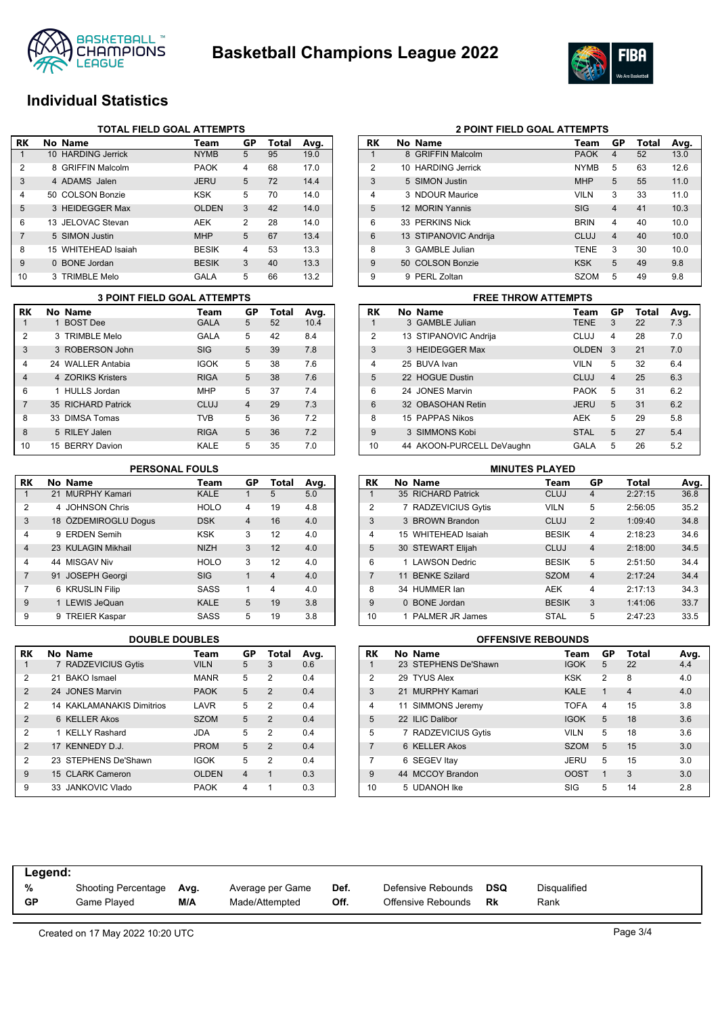



# **Individual Statistics**

|                | TOTAL FIELD GOAL ATTEMPTS |                     |              |                |       |      |  |  |  |  |
|----------------|---------------------------|---------------------|--------------|----------------|-------|------|--|--|--|--|
| RK             |                           | No Name             | Team         | GP             | Total | Avg. |  |  |  |  |
|                |                           | 10 HARDING Jerrick  | <b>NYMB</b>  | 5              | 95    | 19.0 |  |  |  |  |
| 2              |                           | 8 GRIFFIN Malcolm   | <b>PAOK</b>  | $\overline{4}$ | 68    | 17.0 |  |  |  |  |
| 3              |                           | 4 ADAMS Jalen       | <b>JERU</b>  | 5              | 72    | 14.4 |  |  |  |  |
| $\overline{4}$ |                           | 50 COLSON Bonzie    | <b>KSK</b>   | 5              | 70    | 14.0 |  |  |  |  |
| 5              |                           | 3 HEIDEGGER Max     | <b>OLDEN</b> | 3              | 42    | 14.0 |  |  |  |  |
| 6              |                           | 13 JELOVAC Stevan   | AEK          | 2              | 28    | 14.0 |  |  |  |  |
| 7              |                           | 5 SIMON Justin      | <b>MHP</b>   | 5              | 67    | 13.4 |  |  |  |  |
| 8              |                           | 15 WHITEHEAD Isaiah | <b>BESIK</b> | $\overline{4}$ | 53    | 13.3 |  |  |  |  |
| 9              |                           | 0 BONE Jordan       | <b>BESIK</b> | 3              | 40    | 13.3 |  |  |  |  |
| 10             |                           | 3 TRIMBLE Melo      | GALA         | 5              | 66    | 13.2 |  |  |  |  |

|                | <b>3 POINT FIELD GOAL ATTEMPTS</b> |                    |             |                |       |      |  |  |  |  |
|----------------|------------------------------------|--------------------|-------------|----------------|-------|------|--|--|--|--|
| RK             |                                    | No Name            | Team        | GP             | Total | Avg. |  |  |  |  |
| 1              |                                    | 1 BOST Dee         | <b>GALA</b> | 5              | 52    | 10.4 |  |  |  |  |
| $\overline{2}$ |                                    | 3 TRIMBLE Melo     | <b>GALA</b> | 5              | 42    | 8.4  |  |  |  |  |
| 3              |                                    | 3 ROBERSON John    | SIG         | 5              | 39    | 7.8  |  |  |  |  |
| $\overline{4}$ |                                    | 24 WALLER Antabia  | <b>IGOK</b> | 5              | 38    | 7.6  |  |  |  |  |
| $\overline{4}$ |                                    | 4 70RIKS Kristers  | <b>RIGA</b> | 5              | 38    | 7.6  |  |  |  |  |
| 6              |                                    | 1 HULLS Jordan     | <b>MHP</b>  | 5              | 37    | 7.4  |  |  |  |  |
| $\overline{7}$ |                                    | 35 RICHARD Patrick | CLUJ        | $\overline{4}$ | 29    | 7.3  |  |  |  |  |
| 8              |                                    | 33 DIMSA Tomas     | <b>TVB</b>  | 5              | 36    | 7.2  |  |  |  |  |
| 8              |                                    | 5 RILEY Jalen      | <b>RIGA</b> | 5              | 36    | 7.2  |  |  |  |  |
| 10             |                                    | 15 BERRY Davion    | KALE        | 5              | 35    | 7.0  |  |  |  |  |

### **PERSONAL FOULS**

| <b>RK</b>      | No Name              | Team        | GP             | <b>Total</b>   | Avg. |
|----------------|----------------------|-------------|----------------|----------------|------|
| 1              | 21 MURPHY Kamari     | <b>KALE</b> | 1              | 5              | 5.0  |
| 2              | 4 JOHNSON Chris      | <b>HOLO</b> | 4              | 19             | 4.8  |
| 3              | 18 ÖZDEMIROGLU Doqus | <b>DSK</b>  | $\overline{4}$ | 16             | 4.0  |
| 4              | 9 ERDEN Semih        | <b>KSK</b>  | 3              | 12             | 4.0  |
| $\overline{4}$ | 23 KULAGIN Mikhail   | <b>NIZH</b> | 3              | 12             | 4.0  |
| 4              | 44 MISGAV Niv        | <b>HOLO</b> | 3              | 12             | 4.0  |
| 7              | 91 JOSEPH Georgi     | <b>SIG</b>  | 1              | $\overline{4}$ | 4.0  |
| 7              | 6 KRUSLIN Filip      | <b>SASS</b> | 1              | 4              | 4.0  |
| 9              | 1 LEWIS JeQuan       | <b>KALE</b> | 5              | 19             | 3.8  |
| 9              | 9 TREIER Kaspar      | SASS        | 5              | 19             | 3.8  |

| RK             | No Name                          | Team         | GP             | Total          | Avg. |
|----------------|----------------------------------|--------------|----------------|----------------|------|
| 1              | 7 RADZEVICIUS Gytis              | <b>VILN</b>  | 5              | 3              | 0.6  |
| $\overline{2}$ | 21 BAKO Ismael                   | <b>MANR</b>  | 5              | 2              | 0.4  |
| $\overline{2}$ | 24 JONES Marvin                  | <b>PAOK</b>  | 5              | $\overline{2}$ | 0.4  |
| 2              | <b>14 KAKLAMANAKIS Dimitrios</b> | LAVR         | 5              | 2              | 0.4  |
| $\overline{2}$ | 6 KELLER Akos                    | <b>SZOM</b>  | 5              | $\mathcal{P}$  | 0.4  |
| $\overline{2}$ | 1 KELLY Rashard                  | <b>JDA</b>   | 5              | 2              | 0.4  |
| $\overline{2}$ | 17 KENNEDY D.J.                  | <b>PROM</b>  | 5              | $\mathcal{P}$  | 0.4  |
| 2              | 23 STEPHENS De'Shawn             | <b>IGOK</b>  | 5              | $\overline{2}$ | 0.4  |
| 9              | 15 CLARK Cameron                 | <b>OLDEN</b> | $\overline{4}$ | 1              | 0.3  |
| 9              | 33 JANKOVIC Vlado                | <b>PAOK</b>  | 4              | 1              | 0.3  |

|                | <b>2 POINT FIELD GOAL ATTEMPTS</b> |                       |             |                |       |      |  |  |  |  |
|----------------|------------------------------------|-----------------------|-------------|----------------|-------|------|--|--|--|--|
| RK             |                                    | No Name               | Team        | GP             | Total | Avg. |  |  |  |  |
| 1              |                                    | 8 GRIFFIN Malcolm     | <b>PAOK</b> | 4              | 52    | 13.0 |  |  |  |  |
| $\overline{2}$ |                                    | 10 HARDING Jerrick    | <b>NYMB</b> | 5              | 63    | 12.6 |  |  |  |  |
| 3              |                                    | 5 SIMON Justin        | <b>MHP</b>  | 5              | 55    | 11.0 |  |  |  |  |
| 4              |                                    | 3 NDOUR Maurice       | <b>VILN</b> | 3              | 33    | 11.0 |  |  |  |  |
| 5              |                                    | 12 MORIN Yannis       | <b>SIG</b>  | $\overline{4}$ | 41    | 10.3 |  |  |  |  |
| 6              |                                    | 33 PERKINS Nick       | <b>BRIN</b> | 4              | 40    | 10.0 |  |  |  |  |
| 6              |                                    | 13 STIPANOVIC Andrija | CLUJ        | $\overline{4}$ | 40    | 10.0 |  |  |  |  |
| 8              | 3                                  | GAMBLE Julian         | <b>TENE</b> | 3              | 30    | 10.0 |  |  |  |  |
| 9              | 50.                                | <b>COLSON Bonzie</b>  | <b>KSK</b>  | 5              | 49    | 9.8  |  |  |  |  |
| 9              | 9                                  | PERL Zoltan           | <b>SZOM</b> | 5              | 49    | 9.8  |  |  |  |  |

# **RK No Name Team GP Total Avg.** 1 3 GAMBLE Julian TENE 3 22 7.3 **3 POINT FIELD GOAL ATTEMPTS FREE THROW ATTEMPTS**

|                 | 3 GAMBLE Julian           | IENE         | 3              | 22 | 7.3 |
|-----------------|---------------------------|--------------|----------------|----|-----|
| $\overline{2}$  | 13 STIPANOVIC Andrija     | CLUJ         | 4              | 28 | 7.0 |
| 3               | 3 HEIDEGGER Max           | <b>OLDEN</b> | 3              | 21 | 7.0 |
| 4               | 25 BUVA Ivan              | <b>VILN</b>  | 5              | 32 | 6.4 |
| 5               | 22 HOGUE Dustin           | <b>CLUJ</b>  | $\overline{4}$ | 25 | 6.3 |
| 6               | 24 JONES Marvin           | <b>PAOK</b>  | 5              | 31 | 6.2 |
| $6\phantom{1}6$ | 32 OBASOHAN Retin         | <b>JERU</b>  | 5              | 31 | 6.2 |
| 8               | 15 PAPPAS Nikos           | <b>AEK</b>   | 5              | 29 | 5.8 |
| 9               | 3 SIMMONS Kobi            | <b>STAL</b>  | 5              | 27 | 5.4 |
| 10              | 44 AKOON-PURCELL DeVaughn | GALA         | 5              | 26 | 5.2 |

|                |   | <b>MINUTES PLAYED</b>    |              |                |         |      |
|----------------|---|--------------------------|--------------|----------------|---------|------|
| <b>RK</b>      |   | No Name                  | Team         | GP             | Total   | Avg. |
| 1              |   | 35 RICHARD Patrick       | <b>CLUJ</b>  | 4              | 2:27:15 | 36.8 |
| $\overline{2}$ |   | <b>RADZEVICIUS Gytis</b> | <b>VILN</b>  | 5              | 2:56:05 | 35.2 |
| 3              |   | 3 BROWN Brandon          | CLUJ         | $\overline{2}$ | 1:09:40 | 34.8 |
| 4              |   | 15 WHITEHEAD Isaiah      | <b>BESIK</b> | 4              | 2:18:23 | 34.6 |
| 5              |   | 30 STEWART Elijah        | CLUJ         | $\overline{4}$ | 2:18:00 | 34.5 |
| 6              |   | <b>LAWSON Dedric</b>     | <b>BESIK</b> | 5              | 2:51:50 | 34.4 |
| $\overline{7}$ |   | 11 BENKE Szilard         | <b>SZOM</b>  | $\overline{4}$ | 2:17:24 | 34.4 |
| 8              |   | 34 HUMMER lan            | <b>AEK</b>   | 4              | 2:17:13 | 34.3 |
| 9              | 0 | <b>BONE</b> Jordan       | <b>BESIK</b> | 3              | 1:41:06 | 33.7 |
| 10             |   | <b>PALMER JR James</b>   | <b>STAL</b>  | 5              | 2:47:23 | 33.5 |

### **DOUBLE DOUBLES OFFENSIVE REBOUNDS**

| <b>RK</b>      | No Name              | Team        | GP             | Total          | Avg. |
|----------------|----------------------|-------------|----------------|----------------|------|
|                | 23 STEPHENS De'Shawn | <b>IGOK</b> | 5              | 22             | 4.4  |
| $\overline{2}$ | 29 TYUS Alex         | <b>KSK</b>  | 2              | 8              | 4.0  |
| 3              | 21 MURPHY Kamari     | <b>KALE</b> | 1              | $\overline{4}$ | 4.0  |
| $\overline{4}$ | 11 SIMMONS Jeremy    | <b>TOFA</b> | $\overline{4}$ | 15             | 3.8  |
| 5              | 22 ILIC Dalibor      | <b>IGOK</b> | 5              | 18             | 3.6  |
| 5              | 7 RADZEVICIUS Gytis  | <b>VILN</b> | 5              | 18             | 3.6  |
| 7              | 6 KELLER Akos        | <b>SZOM</b> | 5              | 15             | 3.0  |
| 7              | 6 SEGEV Itay         | JERU        | 5              | 15             | 3.0  |
| 9              | 44 MCCOY Brandon     | <b>OOST</b> | $\mathbf 1$    | 3              | 3.0  |
| 10             | 5 UDANOH Ike         | SIG         | 5              | 14             | 2.8  |

| %         | Shooting Percentage | Avg. | Average per Game | Def. | Defensive Rebounds | DSQ | Disqualified |
|-----------|---------------------|------|------------------|------|--------------------|-----|--------------|
| <b>GP</b> | Game Plaved         | M/A  | Made/Attempted   | Off. | Offensive Rebounds | Rk  | Rank         |